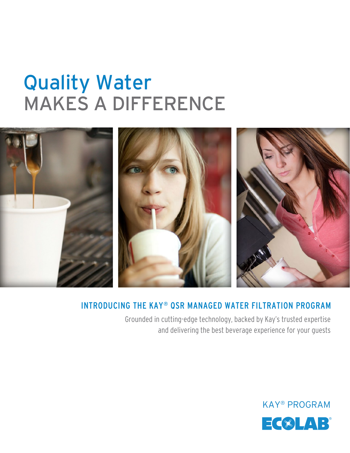## MAKES A DIFFERENCE Quality Water



### INTRODUCING THE KAY® QSR MANAGED WATER FILTRATION PROGRAM

Grounded in cutting-edge technology, backed by Kay's trusted expertise and delivering the best beverage experience for your guests

## KAY® PROGRAM EC®LAB®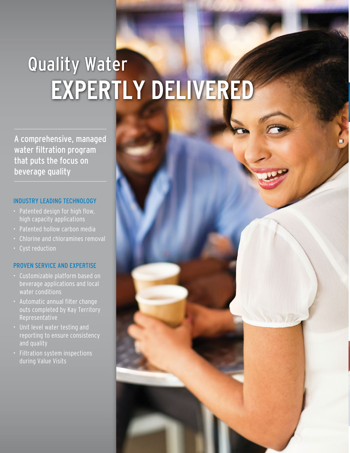# EXPERTLY DELIVERED Quality Water

A comprehensive, managed water filtration program that puts the focus on beverage quality

#### INDUSTRY LEADING TECHNOLOGY

- Patented design for high flow, high capacity applications
- Patented hollow carbon media
- Chlorine and chloramines removal
- Cyst reduction

### PROVEN SERVICE AND EXPERTISE

- Customizable platform based on beverage applications and local water conditions
- Automatic annual filter change outs completed by Kay Territory Representative
- Unit level water testing and reporting to ensure consistency and quality
- Filtration system inspections during Value Visits

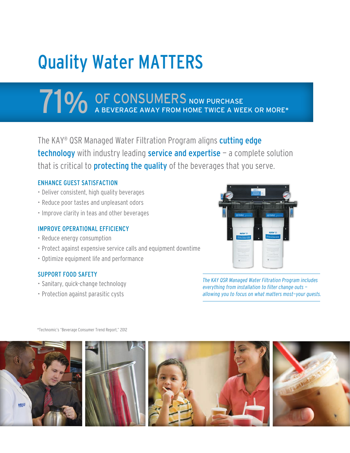# Quality Water MATTERS

## **71 % OF CONSUMERS** NOW PURCHASE A WEEK OR MORE A WEEK OR MORE A WEEK OR MORE A WEEK OR MORE A WEEK OR MORE A WEEK OR MORE A WEEK OF MORE A WEEK OF MORE A WEEK OF MORE A WEEK OF MORE A WEEK OF MORE A WEEK OF MORE A WEEK OF OF CONSUMERS NOW PURCHASE

The KAY® QSR Managed Water Filtration Program aligns cutting edge technology with industry leading service and expertise - a complete solution that is critical to **protecting the quality** of the beverages that you serve.

### ENHANCE GUEST SATISFACTION

- Deliver consistent, high quality beverages
- Reduce poor tastes and unpleasant odors
- Improve clarity in teas and other beverages

### IMPROVE OPERATIONAL EFFICIENCY

- Reduce energy consumption
- Protect against expensive service calls and equipment downtime
- Optimize equipment life and performance

### SUPPORT FOOD SAFETY

- Sanitary, quick-change technology
- Protection against parasitic cysts



*The KAY QSR Managed Water Filtration Program includes everything from installation to filter change outs allowing you to focus on what matters most—your guests.*

\*Technomic's "Beverage Consumer Trend Report," 2012